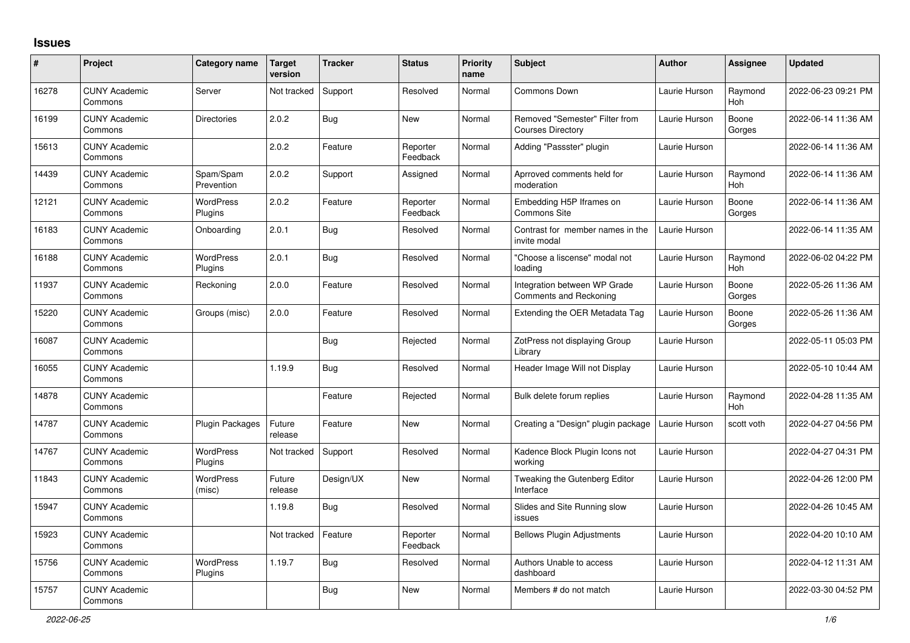## **Issues**

| #     | Project                         | Category name                      | <b>Target</b><br>version | <b>Tracker</b> | <b>Status</b>        | <b>Priority</b><br>name | <b>Subject</b>                                                | <b>Author</b> | <b>Assignee</b> | <b>Updated</b>      |
|-------|---------------------------------|------------------------------------|--------------------------|----------------|----------------------|-------------------------|---------------------------------------------------------------|---------------|-----------------|---------------------|
| 16278 | <b>CUNY Academic</b><br>Commons | Server                             | Not tracked              | Support        | Resolved             | Normal                  | Commons Down                                                  | Laurie Hurson | Raymond<br>Hoh  | 2022-06-23 09:21 PM |
| 16199 | <b>CUNY Academic</b><br>Commons | <b>Directories</b>                 | 2.0.2                    | <b>Bug</b>     | <b>New</b>           | Normal                  | Removed "Semester" Filter from<br><b>Courses Directory</b>    | Laurie Hurson | Boone<br>Gorges | 2022-06-14 11:36 AM |
| 15613 | <b>CUNY Academic</b><br>Commons |                                    | 2.0.2                    | Feature        | Reporter<br>Feedback | Normal                  | Adding "Passster" plugin                                      | Laurie Hurson |                 | 2022-06-14 11:36 AM |
| 14439 | <b>CUNY Academic</b><br>Commons | Spam/Spam<br>Prevention            | 2.0.2                    | Support        | Assigned             | Normal                  | Aprroved comments held for<br>moderation                      | Laurie Hurson | Raymond<br>Hoh  | 2022-06-14 11:36 AM |
| 12121 | <b>CUNY Academic</b><br>Commons | <b>WordPress</b><br>Plugins        | 2.0.2                    | Feature        | Reporter<br>Feedback | Normal                  | Embedding H5P Iframes on<br><b>Commons Site</b>               | Laurie Hurson | Boone<br>Gorges | 2022-06-14 11:36 AM |
| 16183 | <b>CUNY Academic</b><br>Commons | Onboarding                         | 2.0.1                    | Bug            | Resolved             | Normal                  | Contrast for member names in the<br>invite modal              | Laurie Hurson |                 | 2022-06-14 11:35 AM |
| 16188 | <b>CUNY Academic</b><br>Commons | WordPress<br>Plugins               | 2.0.1                    | Bug            | Resolved             | Normal                  | "Choose a liscense" modal not<br>loading                      | Laurie Hurson | Raymond<br>Hoh  | 2022-06-02 04:22 PM |
| 11937 | <b>CUNY Academic</b><br>Commons | Reckoning                          | 2.0.0                    | Feature        | Resolved             | Normal                  | Integration between WP Grade<br><b>Comments and Reckoning</b> | Laurie Hurson | Boone<br>Gorges | 2022-05-26 11:36 AM |
| 15220 | <b>CUNY Academic</b><br>Commons | Groups (misc)                      | 2.0.0                    | Feature        | Resolved             | Normal                  | Extending the OER Metadata Tag                                | Laurie Hurson | Boone<br>Gorges | 2022-05-26 11:36 AM |
| 16087 | <b>CUNY Academic</b><br>Commons |                                    |                          | Bug            | Rejected             | Normal                  | ZotPress not displaying Group<br>Librarv                      | Laurie Hurson |                 | 2022-05-11 05:03 PM |
| 16055 | <b>CUNY Academic</b><br>Commons |                                    | 1.19.9                   | <b>Bug</b>     | Resolved             | Normal                  | Header Image Will not Display                                 | Laurie Hurson |                 | 2022-05-10 10:44 AM |
| 14878 | <b>CUNY Academic</b><br>Commons |                                    |                          | Feature        | Rejected             | Normal                  | Bulk delete forum replies                                     | Laurie Hurson | Raymond<br>Hoh  | 2022-04-28 11:35 AM |
| 14787 | <b>CUNY Academic</b><br>Commons | Plugin Packages                    | Future<br>release        | Feature        | New                  | Normal                  | Creating a "Design" plugin package                            | Laurie Hurson | scott voth      | 2022-04-27 04:56 PM |
| 14767 | <b>CUNY Academic</b><br>Commons | <b>WordPress</b><br>Plugins        | Not tracked              | Support        | Resolved             | Normal                  | Kadence Block Plugin Icons not<br>workina                     | Laurie Hurson |                 | 2022-04-27 04:31 PM |
| 11843 | <b>CUNY Academic</b><br>Commons | WordPress<br>(misc)                | Future<br>release        | Design/UX      | New                  | Normal                  | Tweaking the Gutenberg Editor<br>Interface                    | Laurie Hurson |                 | 2022-04-26 12:00 PM |
| 15947 | <b>CUNY Academic</b><br>Commons |                                    | 1.19.8                   | <b>Bug</b>     | Resolved             | Normal                  | Slides and Site Running slow<br>issues                        | Laurie Hurson |                 | 2022-04-26 10:45 AM |
| 15923 | <b>CUNY Academic</b><br>Commons |                                    | Not tracked              | Feature        | Reporter<br>Feedback | Normal                  | <b>Bellows Plugin Adjustments</b>                             | Laurie Hurson |                 | 2022-04-20 10:10 AM |
| 15756 | <b>CUNY Academic</b><br>Commons | <b>WordPress</b><br><b>Plugins</b> | 1.19.7                   | <b>Bug</b>     | Resolved             | Normal                  | Authors Unable to access<br>dashboard                         | Laurie Hurson |                 | 2022-04-12 11:31 AM |
| 15757 | <b>CUNY Academic</b><br>Commons |                                    |                          | Bug            | <b>New</b>           | Normal                  | Members # do not match                                        | Laurie Hurson |                 | 2022-03-30 04:52 PM |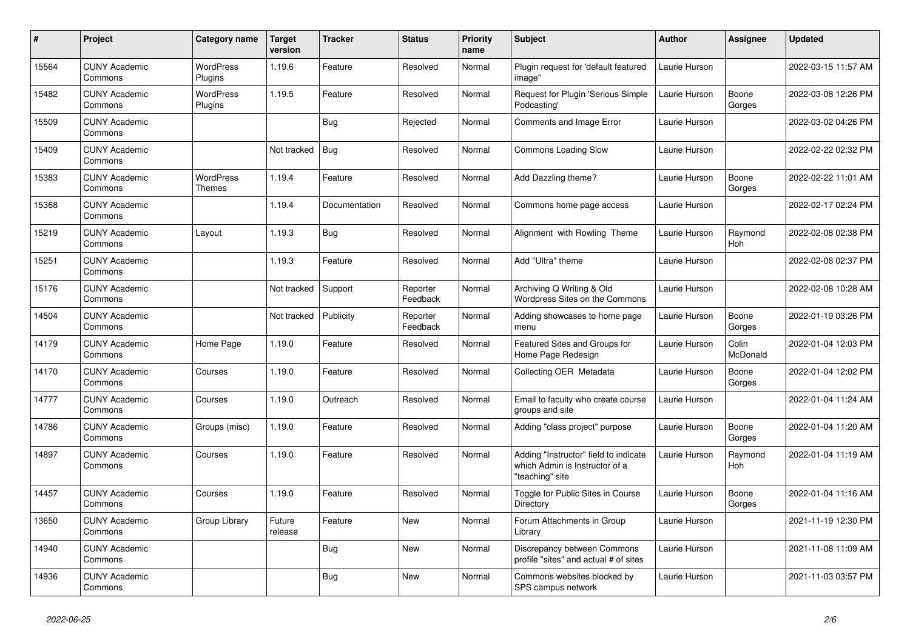| $\#$  | Project                         | Category name                     | <b>Target</b><br>version | <b>Tracker</b> | <b>Status</b>        | <b>Priority</b><br>name | <b>Subject</b>                                                                             | <b>Author</b> | <b>Assignee</b>   | Updated             |
|-------|---------------------------------|-----------------------------------|--------------------------|----------------|----------------------|-------------------------|--------------------------------------------------------------------------------------------|---------------|-------------------|---------------------|
| 15564 | <b>CUNY Academic</b><br>Commons | <b>WordPress</b><br>Plugins       | 1.19.6                   | Feature        | Resolved             | Normal                  | Plugin request for 'default featured<br>image"                                             | Laurie Hurson |                   | 2022-03-15 11:57 AM |
| 15482 | <b>CUNY Academic</b><br>Commons | <b>WordPress</b><br>Plugins       | 1.19.5                   | Feature        | Resolved             | Normal                  | Request for Plugin 'Serious Simple<br>Podcasting'                                          | Laurie Hurson | Boone<br>Gorges   | 2022-03-08 12:26 PM |
| 15509 | <b>CUNY Academic</b><br>Commons |                                   |                          | Bug            | Rejected             | Normal                  | Comments and Image Error                                                                   | Laurie Hurson |                   | 2022-03-02 04:26 PM |
| 15409 | <b>CUNY Academic</b><br>Commons |                                   | Not tracked              | <b>Bug</b>     | Resolved             | Normal                  | Commons Loading Slow                                                                       | Laurie Hurson |                   | 2022-02-22 02:32 PM |
| 15383 | <b>CUNY Academic</b><br>Commons | <b>WordPress</b><br><b>Themes</b> | 1.19.4                   | Feature        | Resolved             | Normal                  | Add Dazzling theme?                                                                        | Laurie Hurson | Boone<br>Gorges   | 2022-02-22 11:01 AM |
| 15368 | <b>CUNY Academic</b><br>Commons |                                   | 1.19.4                   | Documentation  | Resolved             | Normal                  | Commons home page access                                                                   | Laurie Hurson |                   | 2022-02-17 02:24 PM |
| 15219 | <b>CUNY Academic</b><br>Commons | Layout                            | 1.19.3                   | <b>Bug</b>     | Resolved             | Normal                  | Alignment with Rowling Theme                                                               | Laurie Hurson | Raymond<br>Hoh    | 2022-02-08 02:38 PM |
| 15251 | <b>CUNY Academic</b><br>Commons |                                   | 1.19.3                   | Feature        | Resolved             | Normal                  | Add "Ultra" theme                                                                          | Laurie Hurson |                   | 2022-02-08 02:37 PM |
| 15176 | <b>CUNY Academic</b><br>Commons |                                   | Not tracked              | Support        | Reporter<br>Feedback | Normal                  | Archiving Q Writing & Old<br>Wordpress Sites on the Commons                                | Laurie Hurson |                   | 2022-02-08 10:28 AM |
| 14504 | <b>CUNY Academic</b><br>Commons |                                   | Not tracked              | Publicity      | Reporter<br>Feedback | Normal                  | Adding showcases to home page<br>menu                                                      | Laurie Hurson | Boone<br>Gorges   | 2022-01-19 03:26 PM |
| 14179 | <b>CUNY Academic</b><br>Commons | Home Page                         | 1.19.0                   | Feature        | Resolved             | Normal                  | Featured Sites and Groups for<br>Home Page Redesign                                        | Laurie Hurson | Colin<br>McDonald | 2022-01-04 12:03 PM |
| 14170 | <b>CUNY Academic</b><br>Commons | Courses                           | 1.19.0                   | Feature        | Resolved             | Normal                  | Collecting OER Metadata                                                                    | Laurie Hurson | Boone<br>Gorges   | 2022-01-04 12:02 PM |
| 14777 | <b>CUNY Academic</b><br>Commons | Courses                           | 1.19.0                   | Outreach       | Resolved             | Normal                  | Email to faculty who create course<br>groups and site                                      | Laurie Hurson |                   | 2022-01-04 11:24 AM |
| 14786 | <b>CUNY Academic</b><br>Commons | Groups (misc)                     | 1.19.0                   | Feature        | Resolved             | Normal                  | Adding "class project" purpose                                                             | Laurie Hurson | Boone<br>Gorges   | 2022-01-04 11:20 AM |
| 14897 | <b>CUNY Academic</b><br>Commons | Courses                           | 1.19.0                   | Feature        | Resolved             | Normal                  | Adding "Instructor" field to indicate<br>which Admin is Instructor of a<br>"teaching" site | Laurie Hurson | Raymond<br>Hoh    | 2022-01-04 11:19 AM |
| 14457 | <b>CUNY Academic</b><br>Commons | Courses                           | 1.19.0                   | Feature        | Resolved             | Normal                  | Toggle for Public Sites in Course<br>Directory                                             | Laurie Hurson | Boone<br>Gorges   | 2022-01-04 11:16 AM |
| 13650 | <b>CUNY Academic</b><br>Commons | Group Library                     | Future<br>release        | Feature        | <b>New</b>           | Normal                  | Forum Attachments in Group<br>Librarv                                                      | Laurie Hurson |                   | 2021-11-19 12:30 PM |
| 14940 | <b>CUNY Academic</b><br>Commons |                                   |                          | Bug            | <b>New</b>           | Normal                  | Discrepancy between Commons<br>profile "sites" and actual # of sites                       | Laurie Hurson |                   | 2021-11-08 11:09 AM |
| 14936 | <b>CUNY Academic</b><br>Commons |                                   |                          | <b>Bug</b>     | <b>New</b>           | Normal                  | Commons websites blocked by<br>SPS campus network                                          | Laurie Hurson |                   | 2021-11-03 03:57 PM |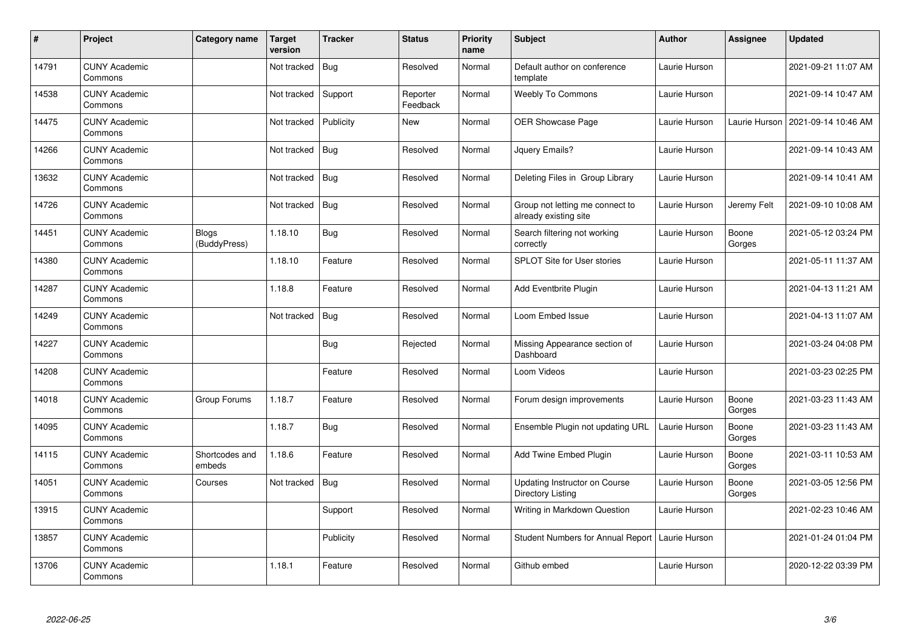| $\sharp$ | Project                         | Category name            | <b>Target</b><br>version | <b>Tracker</b> | <b>Status</b>        | <b>Priority</b><br>name | <b>Subject</b>                                            | <b>Author</b> | <b>Assignee</b> | <b>Updated</b>      |
|----------|---------------------------------|--------------------------|--------------------------|----------------|----------------------|-------------------------|-----------------------------------------------------------|---------------|-----------------|---------------------|
| 14791    | <b>CUNY Academic</b><br>Commons |                          | Not tracked              | <b>Bug</b>     | Resolved             | Normal                  | Default author on conference<br>template                  | Laurie Hurson |                 | 2021-09-21 11:07 AM |
| 14538    | <b>CUNY Academic</b><br>Commons |                          | Not tracked              | Support        | Reporter<br>Feedback | Normal                  | <b>Weebly To Commons</b>                                  | Laurie Hurson |                 | 2021-09-14 10:47 AM |
| 14475    | <b>CUNY Academic</b><br>Commons |                          | Not tracked              | Publicity      | New                  | Normal                  | OER Showcase Page                                         | Laurie Hurson | Laurie Hurson   | 2021-09-14 10:46 AM |
| 14266    | <b>CUNY Academic</b><br>Commons |                          | Not tracked              | <b>Bug</b>     | Resolved             | Normal                  | Jquery Emails?                                            | Laurie Hurson |                 | 2021-09-14 10:43 AM |
| 13632    | <b>CUNY Academic</b><br>Commons |                          | Not tracked              | <b>Bug</b>     | Resolved             | Normal                  | Deleting Files in Group Library                           | Laurie Hurson |                 | 2021-09-14 10:41 AM |
| 14726    | <b>CUNY Academic</b><br>Commons |                          | Not tracked              | <b>Bug</b>     | Resolved             | Normal                  | Group not letting me connect to<br>already existing site  | Laurie Hurson | Jeremy Felt     | 2021-09-10 10:08 AM |
| 14451    | <b>CUNY Academic</b><br>Commons | Blogs<br>(BuddyPress)    | 1.18.10                  | <b>Bug</b>     | Resolved             | Normal                  | Search filtering not working<br>correctly                 | Laurie Hurson | Boone<br>Gorges | 2021-05-12 03:24 PM |
| 14380    | <b>CUNY Academic</b><br>Commons |                          | 1.18.10                  | Feature        | Resolved             | Normal                  | <b>SPLOT Site for User stories</b>                        | Laurie Hurson |                 | 2021-05-11 11:37 AM |
| 14287    | <b>CUNY Academic</b><br>Commons |                          | 1.18.8                   | Feature        | Resolved             | Normal                  | <b>Add Eventbrite Plugin</b>                              | Laurie Hurson |                 | 2021-04-13 11:21 AM |
| 14249    | <b>CUNY Academic</b><br>Commons |                          | Not tracked              | <b>Bug</b>     | Resolved             | Normal                  | Loom Embed Issue                                          | Laurie Hurson |                 | 2021-04-13 11:07 AM |
| 14227    | <b>CUNY Academic</b><br>Commons |                          |                          | <b>Bug</b>     | Rejected             | Normal                  | Missing Appearance section of<br>Dashboard                | Laurie Hurson |                 | 2021-03-24 04:08 PM |
| 14208    | <b>CUNY Academic</b><br>Commons |                          |                          | Feature        | Resolved             | Normal                  | Loom Videos                                               | Laurie Hurson |                 | 2021-03-23 02:25 PM |
| 14018    | <b>CUNY Academic</b><br>Commons | Group Forums             | 1.18.7                   | Feature        | Resolved             | Normal                  | Forum design improvements                                 | Laurie Hurson | Boone<br>Gorges | 2021-03-23 11:43 AM |
| 14095    | <b>CUNY Academic</b><br>Commons |                          | 1.18.7                   | <b>Bug</b>     | Resolved             | Normal                  | Ensemble Plugin not updating URL                          | Laurie Hurson | Boone<br>Gorges | 2021-03-23 11:43 AM |
| 14115    | <b>CUNY Academic</b><br>Commons | Shortcodes and<br>embeds | 1.18.6                   | Feature        | Resolved             | Normal                  | Add Twine Embed Plugin                                    | Laurie Hurson | Boone<br>Gorges | 2021-03-11 10:53 AM |
| 14051    | <b>CUNY Academic</b><br>Commons | Courses                  | Not tracked              | Bug            | Resolved             | Normal                  | Updating Instructor on Course<br><b>Directory Listing</b> | Laurie Hurson | Boone<br>Gorges | 2021-03-05 12:56 PM |
| 13915    | <b>CUNY Academic</b><br>Commons |                          |                          | Support        | Resolved             | Normal                  | Writing in Markdown Question                              | Laurie Hurson |                 | 2021-02-23 10:46 AM |
| 13857    | <b>CUNY Academic</b><br>Commons |                          |                          | Publicity      | Resolved             | Normal                  | <b>Student Numbers for Annual Report</b>                  | Laurie Hurson |                 | 2021-01-24 01:04 PM |
| 13706    | <b>CUNY Academic</b><br>Commons |                          | 1.18.1                   | Feature        | Resolved             | Normal                  | Github embed                                              | Laurie Hurson |                 | 2020-12-22 03:39 PM |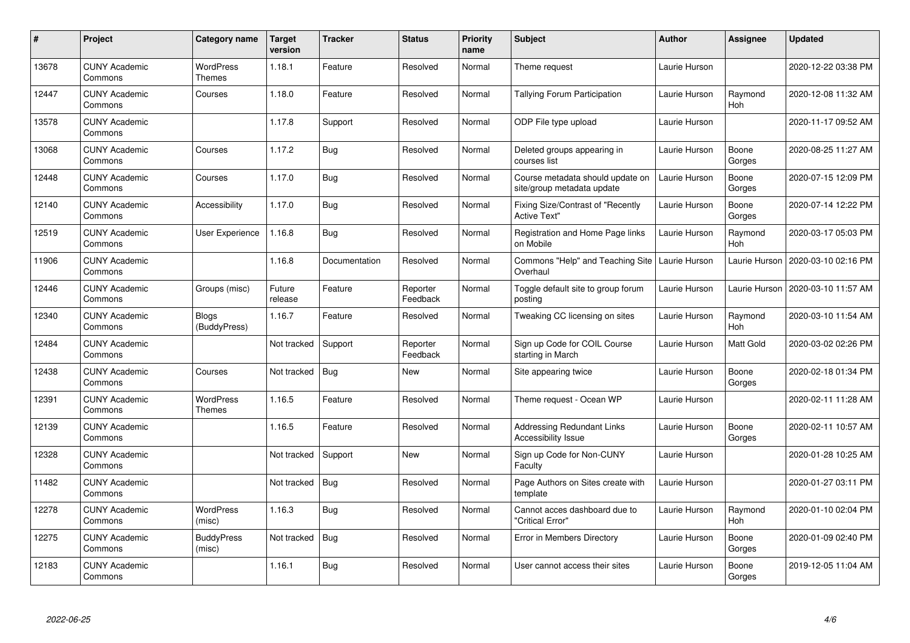| #     | Project                         | Category name                     | <b>Target</b><br>version | <b>Tracker</b> | <b>Status</b>        | <b>Priority</b><br>name | <b>Subject</b>                                                 | <b>Author</b> | <b>Assignee</b>       | <b>Updated</b>      |
|-------|---------------------------------|-----------------------------------|--------------------------|----------------|----------------------|-------------------------|----------------------------------------------------------------|---------------|-----------------------|---------------------|
| 13678 | <b>CUNY Academic</b><br>Commons | <b>WordPress</b><br>Themes        | 1.18.1                   | Feature        | Resolved             | Normal                  | Theme request                                                  | Laurie Hurson |                       | 2020-12-22 03:38 PM |
| 12447 | <b>CUNY Academic</b><br>Commons | Courses                           | 1.18.0                   | Feature        | Resolved             | Normal                  | Tallying Forum Participation                                   | Laurie Hurson | Raymond<br>Hoh        | 2020-12-08 11:32 AM |
| 13578 | <b>CUNY Academic</b><br>Commons |                                   | 1.17.8                   | Support        | Resolved             | Normal                  | ODP File type upload                                           | Laurie Hurson |                       | 2020-11-17 09:52 AM |
| 13068 | <b>CUNY Academic</b><br>Commons | Courses                           | 1.17.2                   | Bug            | Resolved             | Normal                  | Deleted groups appearing in<br>courses list                    | Laurie Hurson | Boone<br>Gorges       | 2020-08-25 11:27 AM |
| 12448 | <b>CUNY Academic</b><br>Commons | Courses                           | 1.17.0                   | <b>Bug</b>     | Resolved             | Normal                  | Course metadata should update on<br>site/group metadata update | Laurie Hurson | Boone<br>Gorges       | 2020-07-15 12:09 PM |
| 12140 | <b>CUNY Academic</b><br>Commons | Accessibility                     | 1.17.0                   | Bug            | Resolved             | Normal                  | Fixing Size/Contrast of "Recently<br><b>Active Text"</b>       | Laurie Hurson | Boone<br>Gorges       | 2020-07-14 12:22 PM |
| 12519 | <b>CUNY Academic</b><br>Commons | <b>User Experience</b>            | 1.16.8                   | <b>Bug</b>     | Resolved             | Normal                  | Registration and Home Page links<br>on Mobile                  | Laurie Hurson | Raymond<br><b>Hoh</b> | 2020-03-17 05:03 PM |
| 11906 | <b>CUNY Academic</b><br>Commons |                                   | 1.16.8                   | Documentation  | Resolved             | Normal                  | Commons "Help" and Teaching Site<br>Overhaul                   | Laurie Hurson | Laurie Hurson         | 2020-03-10 02:16 PM |
| 12446 | <b>CUNY Academic</b><br>Commons | Groups (misc)                     | Future<br>release        | Feature        | Reporter<br>Feedback | Normal                  | Toggle default site to group forum<br>posting                  | Laurie Hurson | Laurie Hurson         | 2020-03-10 11:57 AM |
| 12340 | <b>CUNY Academic</b><br>Commons | <b>Blogs</b><br>(BuddyPress)      | 1.16.7                   | Feature        | Resolved             | Normal                  | Tweaking CC licensing on sites                                 | Laurie Hurson | Raymond<br><b>Hoh</b> | 2020-03-10 11:54 AM |
| 12484 | <b>CUNY Academic</b><br>Commons |                                   | Not tracked              | Support        | Reporter<br>Feedback | Normal                  | Sign up Code for COIL Course<br>starting in March              | Laurie Hurson | Matt Gold             | 2020-03-02 02:26 PM |
| 12438 | <b>CUNY Academic</b><br>Commons | Courses                           | Not tracked              | Bug            | <b>New</b>           | Normal                  | Site appearing twice                                           | Laurie Hurson | Boone<br>Gorges       | 2020-02-18 01:34 PM |
| 12391 | <b>CUNY Academic</b><br>Commons | <b>WordPress</b><br><b>Themes</b> | 1.16.5                   | Feature        | Resolved             | Normal                  | Theme request - Ocean WP                                       | Laurie Hurson |                       | 2020-02-11 11:28 AM |
| 12139 | <b>CUNY Academic</b><br>Commons |                                   | 1.16.5                   | Feature        | Resolved             | Normal                  | <b>Addressing Redundant Links</b><br>Accessibility Issue       | Laurie Hurson | Boone<br>Gorges       | 2020-02-11 10:57 AM |
| 12328 | <b>CUNY Academic</b><br>Commons |                                   | Not tracked              | Support        | <b>New</b>           | Normal                  | Sign up Code for Non-CUNY<br>Faculty                           | Laurie Hurson |                       | 2020-01-28 10:25 AM |
| 11482 | <b>CUNY Academic</b><br>Commons |                                   | Not tracked              | Bug            | Resolved             | Normal                  | Page Authors on Sites create with<br>template                  | Laurie Hurson |                       | 2020-01-27 03:11 PM |
| 12278 | <b>CUNY Academic</b><br>Commons | <b>WordPress</b><br>(misc)        | 1.16.3                   | <b>Bug</b>     | Resolved             | Normal                  | Cannot acces dashboard due to<br>"Critical Error"              | Laurie Hurson | Raymond<br>Hoh        | 2020-01-10 02:04 PM |
| 12275 | <b>CUNY Academic</b><br>Commons | <b>BuddyPress</b><br>(misc)       | Not tracked              | <b>Bug</b>     | Resolved             | Normal                  | Error in Members Directory                                     | Laurie Hurson | Boone<br>Gorges       | 2020-01-09 02:40 PM |
| 12183 | <b>CUNY Academic</b><br>Commons |                                   | 1.16.1                   | Bug            | Resolved             | Normal                  | User cannot access their sites                                 | Laurie Hurson | Boone<br>Gorges       | 2019-12-05 11:04 AM |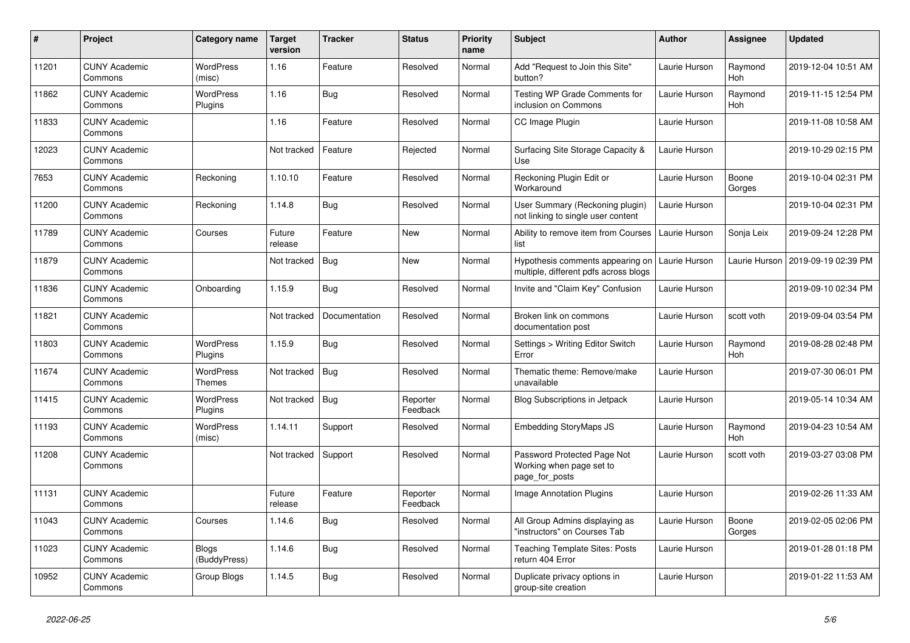| $\pmb{\#}$ | Project                         | Category name                | <b>Target</b><br>version | <b>Tracker</b> | <b>Status</b>        | <b>Priority</b><br>name | <b>Subject</b>                                                            | <b>Author</b> | <b>Assignee</b>       | <b>Updated</b>      |
|------------|---------------------------------|------------------------------|--------------------------|----------------|----------------------|-------------------------|---------------------------------------------------------------------------|---------------|-----------------------|---------------------|
| 11201      | <b>CUNY Academic</b><br>Commons | <b>WordPress</b><br>(misc)   | 1.16                     | Feature        | Resolved             | Normal                  | Add "Request to Join this Site"<br>button?                                | Laurie Hurson | Raymond<br>Hoh        | 2019-12-04 10:51 AM |
| 11862      | <b>CUNY Academic</b><br>Commons | <b>WordPress</b><br>Plugins  | 1.16                     | Bug            | Resolved             | Normal                  | Testing WP Grade Comments for<br>inclusion on Commons                     | Laurie Hurson | Raymond<br>Hoh        | 2019-11-15 12:54 PM |
| 11833      | <b>CUNY Academic</b><br>Commons |                              | 1.16                     | Feature        | Resolved             | Normal                  | CC Image Plugin                                                           | Laurie Hurson |                       | 2019-11-08 10:58 AM |
| 12023      | <b>CUNY Academic</b><br>Commons |                              | Not tracked              | Feature        | Rejected             | Normal                  | Surfacing Site Storage Capacity &<br>Use                                  | Laurie Hurson |                       | 2019-10-29 02:15 PM |
| 7653       | <b>CUNY Academic</b><br>Commons | Reckoning                    | 1.10.10                  | Feature        | Resolved             | Normal                  | Reckoning Plugin Edit or<br>Workaround                                    | Laurie Hurson | Boone<br>Gorges       | 2019-10-04 02:31 PM |
| 11200      | <b>CUNY Academic</b><br>Commons | Reckoning                    | 1.14.8                   | Bug            | Resolved             | Normal                  | User Summary (Reckoning plugin)<br>not linking to single user content     | Laurie Hurson |                       | 2019-10-04 02:31 PM |
| 11789      | <b>CUNY Academic</b><br>Commons | Courses                      | Future<br>release        | Feature        | <b>New</b>           | Normal                  | Ability to remove item from Courses<br>list                               | Laurie Hurson | Sonja Leix            | 2019-09-24 12:28 PM |
| 11879      | <b>CUNY Academic</b><br>Commons |                              | Not tracked              | <b>Bug</b>     | <b>New</b>           | Normal                  | Hypothesis comments appearing on<br>multiple, different pdfs across blogs | Laurie Hurson | Laurie Hurson         | 2019-09-19 02:39 PM |
| 11836      | <b>CUNY Academic</b><br>Commons | Onboarding                   | 1.15.9                   | Bug            | Resolved             | Normal                  | Invite and "Claim Key" Confusion                                          | Laurie Hurson |                       | 2019-09-10 02:34 PM |
| 11821      | <b>CUNY Academic</b><br>Commons |                              | Not tracked              | Documentation  | Resolved             | Normal                  | Broken link on commons<br>documentation post                              | Laurie Hurson | scott voth            | 2019-09-04 03:54 PM |
| 11803      | <b>CUNY Academic</b><br>Commons | <b>WordPress</b><br>Plugins  | 1.15.9                   | Bug            | Resolved             | Normal                  | Settings > Writing Editor Switch<br>Error                                 | Laurie Hurson | Raymond<br>Hoh        | 2019-08-28 02:48 PM |
| 11674      | <b>CUNY Academic</b><br>Commons | WordPress<br>Themes          | Not tracked              | Bug            | Resolved             | Normal                  | Thematic theme: Remove/make<br>unavailable                                | Laurie Hurson |                       | 2019-07-30 06:01 PM |
| 11415      | <b>CUNY Academic</b><br>Commons | WordPress<br>Plugins         | Not tracked              | Bug            | Reporter<br>Feedback | Normal                  | Blog Subscriptions in Jetpack                                             | Laurie Hurson |                       | 2019-05-14 10:34 AM |
| 11193      | <b>CUNY Academic</b><br>Commons | WordPress<br>(misc)          | 1.14.11                  | Support        | Resolved             | Normal                  | <b>Embedding StoryMaps JS</b>                                             | Laurie Hurson | Raymond<br><b>Hoh</b> | 2019-04-23 10:54 AM |
| 11208      | <b>CUNY Academic</b><br>Commons |                              | Not tracked              | Support        | Resolved             | Normal                  | Password Protected Page Not<br>Working when page set to<br>page_for_posts | Laurie Hurson | scott voth            | 2019-03-27 03:08 PM |
| 11131      | <b>CUNY Academic</b><br>Commons |                              | Future<br>release        | Feature        | Reporter<br>Feedback | Normal                  | Image Annotation Plugins                                                  | Laurie Hurson |                       | 2019-02-26 11:33 AM |
| 11043      | <b>CUNY Academic</b><br>Commons | Courses                      | 1.14.6                   | Bug            | Resolved             | Normal                  | All Group Admins displaying as<br>"instructors" on Courses Tab            | Laurie Hurson | Boone<br>Gorges       | 2019-02-05 02:06 PM |
| 11023      | <b>CUNY Academic</b><br>Commons | <b>Blogs</b><br>(BuddyPress) | 1.14.6                   | <b>Bug</b>     | Resolved             | Normal                  | <b>Teaching Template Sites: Posts</b><br>return 404 Error                 | Laurie Hurson |                       | 2019-01-28 01:18 PM |
| 10952      | <b>CUNY Academic</b><br>Commons | Group Blogs                  | 1.14.5                   | Bug            | Resolved             | Normal                  | Duplicate privacy options in<br>group-site creation                       | Laurie Hurson |                       | 2019-01-22 11:53 AM |